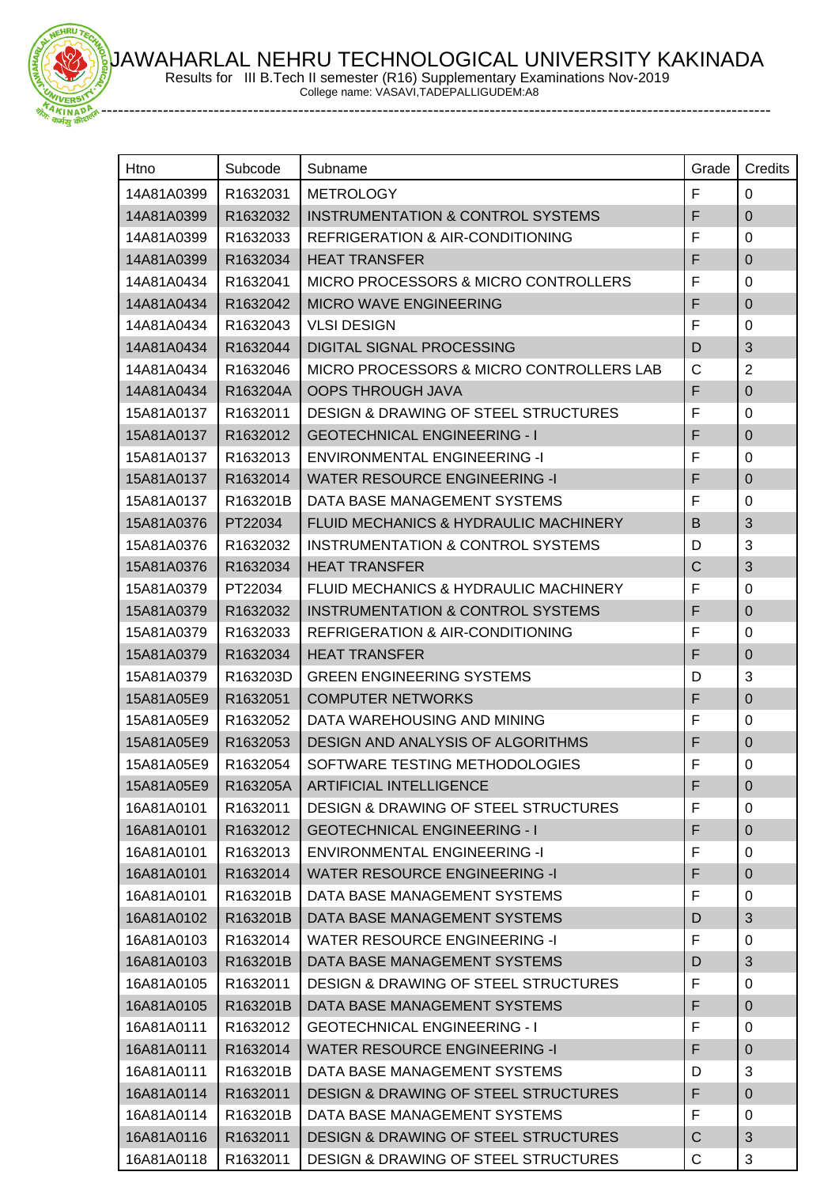AWAHARLAL NEHRU TECHNOLOGICAL UNIVERSITY KAKINADA

Results for III B.Tech II semester (R16) Supplementary Examinations Nov-2019

College name: VASAVI,TADEPALLIGUDEM:A8 -----------------------------------------------------------------------------------------------------------------------

 $-10011$ 

| Htno       | Subcode  | Subname                                         | Grade        | Credits        |
|------------|----------|-------------------------------------------------|--------------|----------------|
| 14A81A0399 | R1632031 | <b>METROLOGY</b>                                | F            | $\Omega$       |
| 14A81A0399 | R1632032 | <b>INSTRUMENTATION &amp; CONTROL SYSTEMS</b>    | F            | $\mathbf 0$    |
| 14A81A0399 | R1632033 | <b>REFRIGERATION &amp; AIR-CONDITIONING</b>     | F            | 0              |
| 14A81A0399 | R1632034 | <b>HEAT TRANSFER</b>                            | F            | $\mathbf 0$    |
| 14A81A0434 | R1632041 | MICRO PROCESSORS & MICRO CONTROLLERS            | F            | $\mathbf 0$    |
| 14A81A0434 | R1632042 | MICRO WAVE ENGINEERING                          | F            | $\pmb{0}$      |
| 14A81A0434 | R1632043 | <b>VLSI DESIGN</b>                              | F            | $\mathbf 0$    |
| 14A81A0434 | R1632044 | <b>DIGITAL SIGNAL PROCESSING</b>                | D            | 3              |
| 14A81A0434 | R1632046 | MICRO PROCESSORS & MICRO CONTROLLERS LAB        | $\mathsf{C}$ | $\overline{2}$ |
| 14A81A0434 | R163204A | <b>OOPS THROUGH JAVA</b>                        | F            | $\pmb{0}$      |
| 15A81A0137 | R1632011 | <b>DESIGN &amp; DRAWING OF STEEL STRUCTURES</b> | F            | $\mathbf 0$    |
| 15A81A0137 | R1632012 | <b>GEOTECHNICAL ENGINEERING - I</b>             | F            | $\mathbf 0$    |
| 15A81A0137 | R1632013 | <b>ENVIRONMENTAL ENGINEERING -I</b>             | F            | 0              |
| 15A81A0137 | R1632014 | <b>WATER RESOURCE ENGINEERING -I</b>            | F            | $\mathbf 0$    |
| 15A81A0137 | R163201B | DATA BASE MANAGEMENT SYSTEMS                    | F            | $\mathbf 0$    |
| 15A81A0376 | PT22034  | FLUID MECHANICS & HYDRAULIC MACHINERY           | B            | 3              |
| 15A81A0376 | R1632032 | INSTRUMENTATION & CONTROL SYSTEMS               | D            | 3              |
| 15A81A0376 | R1632034 | <b>HEAT TRANSFER</b>                            | $\mathsf C$  | 3              |
| 15A81A0379 | PT22034  | FLUID MECHANICS & HYDRAULIC MACHINERY           | F            | $\mathbf 0$    |
| 15A81A0379 | R1632032 | INSTRUMENTATION & CONTROL SYSTEMS               | F            | $\mathbf 0$    |
| 15A81A0379 | R1632033 | REFRIGERATION & AIR-CONDITIONING                | F            | $\mathbf 0$    |
| 15A81A0379 | R1632034 | <b>HEAT TRANSFER</b>                            | F            | $\pmb{0}$      |
| 15A81A0379 | R163203D | <b>GREEN ENGINEERING SYSTEMS</b>                | D            | 3              |
| 15A81A05E9 | R1632051 | <b>COMPUTER NETWORKS</b>                        | F            | $\mathbf 0$    |
| 15A81A05E9 | R1632052 | DATA WAREHOUSING AND MINING                     | F            | $\mathbf 0$    |
| 15A81A05E9 | R1632053 | DESIGN AND ANALYSIS OF ALGORITHMS               | F            | $\pmb{0}$      |
| 15A81A05E9 | R1632054 | SOFTWARE TESTING METHODOLOGIES                  | F            | $\mathbf 0$    |
| 15A81A05E9 | R163205A | ARTIFICIAL INTELLIGENCE                         | F            | $\pmb{0}$      |
| 16A81A0101 | R1632011 | <b>DESIGN &amp; DRAWING OF STEEL STRUCTURES</b> | F            | 0              |
| 16A81A0101 | R1632012 | <b>GEOTECHNICAL ENGINEERING - I</b>             | F            | $\pmb{0}$      |
| 16A81A0101 | R1632013 | <b>ENVIRONMENTAL ENGINEERING -I</b>             | F            | $\mathbf 0$    |
| 16A81A0101 | R1632014 | <b>WATER RESOURCE ENGINEERING -I</b>            | F            | $\mathbf 0$    |
| 16A81A0101 | R163201B | DATA BASE MANAGEMENT SYSTEMS                    | F            | 0              |
| 16A81A0102 | R163201B | DATA BASE MANAGEMENT SYSTEMS                    | D            | $\mathfrak{S}$ |
| 16A81A0103 | R1632014 | WATER RESOURCE ENGINEERING -I                   | F            | 0              |
| 16A81A0103 | R163201B | DATA BASE MANAGEMENT SYSTEMS                    | D            | 3              |
| 16A81A0105 | R1632011 | <b>DESIGN &amp; DRAWING OF STEEL STRUCTURES</b> | F            | 0              |
| 16A81A0105 | R163201B | DATA BASE MANAGEMENT SYSTEMS                    | F            | $\pmb{0}$      |
| 16A81A0111 | R1632012 | <b>GEOTECHNICAL ENGINEERING - I</b>             | F            | $\mathbf 0$    |
| 16A81A0111 | R1632014 | <b>WATER RESOURCE ENGINEERING -I</b>            | F            | $\mathbf 0$    |
| 16A81A0111 | R163201B | DATA BASE MANAGEMENT SYSTEMS                    | D            | 3              |
| 16A81A0114 | R1632011 | <b>DESIGN &amp; DRAWING OF STEEL STRUCTURES</b> | F            | $\pmb{0}$      |
| 16A81A0114 | R163201B | DATA BASE MANAGEMENT SYSTEMS                    | F            | 0              |
| 16A81A0116 | R1632011 | <b>DESIGN &amp; DRAWING OF STEEL STRUCTURES</b> | $\mathsf{C}$ | 3              |
| 16A81A0118 | R1632011 | DESIGN & DRAWING OF STEEL STRUCTURES            | $\mathsf C$  | 3              |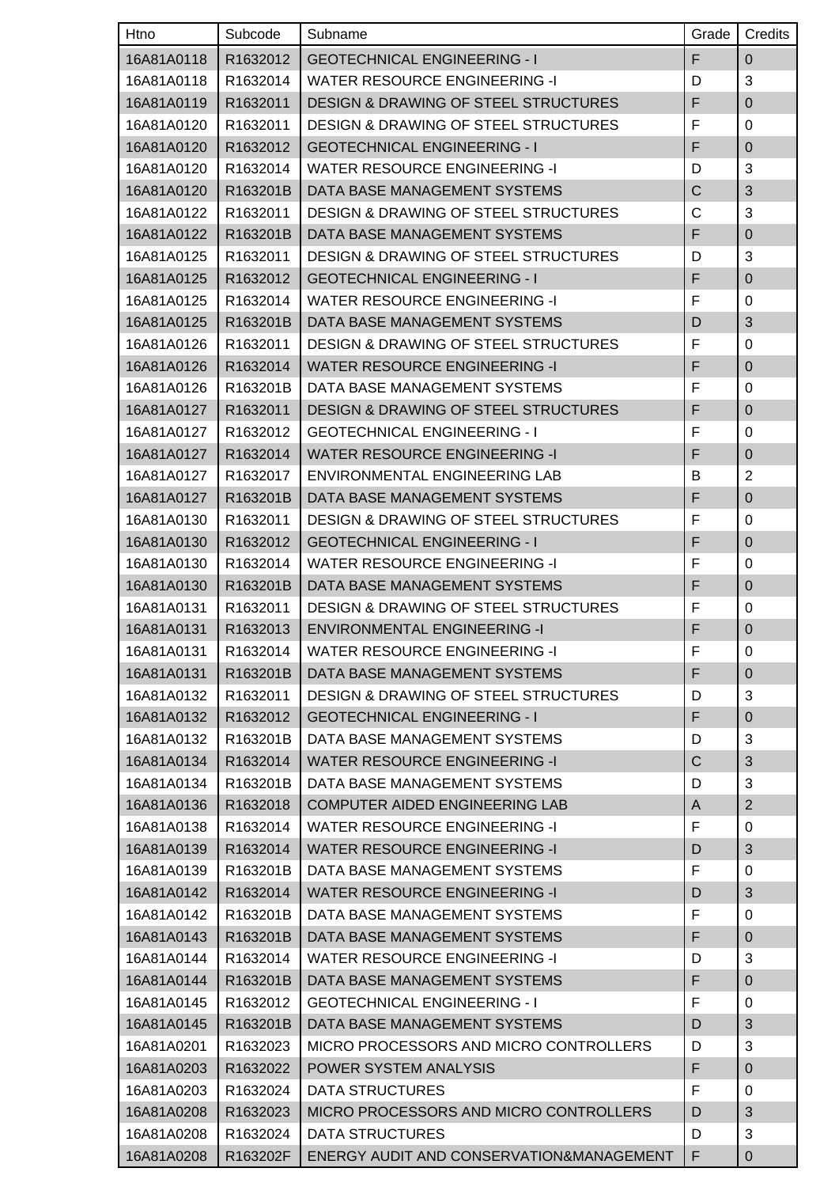| Htno       | Subcode  | Subname                                         | Grade | Credits        |
|------------|----------|-------------------------------------------------|-------|----------------|
| 16A81A0118 | R1632012 | <b>GEOTECHNICAL ENGINEERING - I</b>             | F     | $\pmb{0}$      |
| 16A81A0118 | R1632014 | <b>WATER RESOURCE ENGINEERING -I</b>            | D     | 3              |
| 16A81A0119 | R1632011 | <b>DESIGN &amp; DRAWING OF STEEL STRUCTURES</b> | F     | $\mathbf 0$    |
| 16A81A0120 | R1632011 | <b>DESIGN &amp; DRAWING OF STEEL STRUCTURES</b> | F     | 0              |
| 16A81A0120 | R1632012 | <b>GEOTECHNICAL ENGINEERING - I</b>             | F     | $\mathbf 0$    |
| 16A81A0120 | R1632014 | <b>WATER RESOURCE ENGINEERING -I</b>            | D     | 3              |
| 16A81A0120 | R163201B | DATA BASE MANAGEMENT SYSTEMS                    | C     | 3              |
| 16A81A0122 | R1632011 | <b>DESIGN &amp; DRAWING OF STEEL STRUCTURES</b> | C     | 3              |
| 16A81A0122 | R163201B | DATA BASE MANAGEMENT SYSTEMS                    | F     | $\mathbf 0$    |
| 16A81A0125 | R1632011 | <b>DESIGN &amp; DRAWING OF STEEL STRUCTURES</b> | D     | 3              |
| 16A81A0125 | R1632012 | <b>GEOTECHNICAL ENGINEERING - I</b>             | F     | $\pmb{0}$      |
| 16A81A0125 | R1632014 | WATER RESOURCE ENGINEERING -I                   | F     | 0              |
| 16A81A0125 | R163201B | DATA BASE MANAGEMENT SYSTEMS                    | D     | 3              |
| 16A81A0126 | R1632011 | <b>DESIGN &amp; DRAWING OF STEEL STRUCTURES</b> | F     | 0              |
| 16A81A0126 | R1632014 | <b>WATER RESOURCE ENGINEERING -I</b>            | F     | $\mathbf 0$    |
| 16A81A0126 | R163201B | DATA BASE MANAGEMENT SYSTEMS                    | F     | 0              |
| 16A81A0127 | R1632011 | DESIGN & DRAWING OF STEEL STRUCTURES            | F     | $\mathbf 0$    |
| 16A81A0127 | R1632012 | <b>GEOTECHNICAL ENGINEERING - I</b>             | F     | 0              |
| 16A81A0127 | R1632014 | <b>WATER RESOURCE ENGINEERING -I</b>            | F     | $\mathbf 0$    |
| 16A81A0127 | R1632017 | ENVIRONMENTAL ENGINEERING LAB                   | В     | $\overline{2}$ |
| 16A81A0127 | R163201B | DATA BASE MANAGEMENT SYSTEMS                    | F     | $\mathbf 0$    |
| 16A81A0130 | R1632011 | <b>DESIGN &amp; DRAWING OF STEEL STRUCTURES</b> | F     | 0              |
| 16A81A0130 | R1632012 | <b>GEOTECHNICAL ENGINEERING - I</b>             | F     | $\pmb{0}$      |
| 16A81A0130 | R1632014 | <b>WATER RESOURCE ENGINEERING -I</b>            | F     | 0              |
| 16A81A0130 | R163201B | DATA BASE MANAGEMENT SYSTEMS                    | F     | $\mathbf 0$    |
| 16A81A0131 | R1632011 | <b>DESIGN &amp; DRAWING OF STEEL STRUCTURES</b> | F     | 0              |
| 16A81A0131 | R1632013 | <b>ENVIRONMENTAL ENGINEERING -I</b>             | F     | $\mathbf 0$    |
| 16A81A0131 | R1632014 | WATER RESOURCE ENGINEERING -I                   | F     | 0              |
| 16A81A0131 | R163201B | DATA BASE MANAGEMENT SYSTEMS                    | F     | $\pmb{0}$      |
| 16A81A0132 | R1632011 | <b>DESIGN &amp; DRAWING OF STEEL STRUCTURES</b> | D     | 3              |
| 16A81A0132 | R1632012 | <b>GEOTECHNICAL ENGINEERING - I</b>             | F     | $\pmb{0}$      |
| 16A81A0132 | R163201B | DATA BASE MANAGEMENT SYSTEMS                    | D     | $\mathbf{3}$   |
| 16A81A0134 | R1632014 | <b>WATER RESOURCE ENGINEERING -I</b>            | C     | 3              |
| 16A81A0134 | R163201B | DATA BASE MANAGEMENT SYSTEMS                    | D     | 3              |
| 16A81A0136 | R1632018 | COMPUTER AIDED ENGINEERING LAB                  | A     | $\overline{2}$ |
| 16A81A0138 | R1632014 | <b>WATER RESOURCE ENGINEERING -I</b>            | F     | 0              |
| 16A81A0139 | R1632014 | <b>WATER RESOURCE ENGINEERING -I</b>            | D     | 3              |
| 16A81A0139 | R163201B | DATA BASE MANAGEMENT SYSTEMS                    | F     | 0              |
| 16A81A0142 | R1632014 | <b>WATER RESOURCE ENGINEERING -I</b>            | D     | $\sqrt{3}$     |
| 16A81A0142 | R163201B | DATA BASE MANAGEMENT SYSTEMS                    | F     | 0              |
| 16A81A0143 | R163201B | DATA BASE MANAGEMENT SYSTEMS                    | F     | $\pmb{0}$      |
| 16A81A0144 | R1632014 | <b>WATER RESOURCE ENGINEERING -I</b>            | D     | 3              |
| 16A81A0144 | R163201B | DATA BASE MANAGEMENT SYSTEMS                    | F     | $\pmb{0}$      |
| 16A81A0145 | R1632012 | <b>GEOTECHNICAL ENGINEERING - I</b>             | F     | 0              |
| 16A81A0145 | R163201B | DATA BASE MANAGEMENT SYSTEMS                    | D     | 3              |
| 16A81A0201 | R1632023 | MICRO PROCESSORS AND MICRO CONTROLLERS          | D     | 3              |
| 16A81A0203 | R1632022 | POWER SYSTEM ANALYSIS                           | F     | $\mathbf 0$    |
| 16A81A0203 | R1632024 | DATA STRUCTURES                                 | F     | 0              |
| 16A81A0208 | R1632023 | MICRO PROCESSORS AND MICRO CONTROLLERS          | D     | 3              |
| 16A81A0208 | R1632024 | DATA STRUCTURES                                 | D     | 3              |
| 16A81A0208 | R163202F | ENERGY AUDIT AND CONSERVATION&MANAGEMENT        | F     | 0              |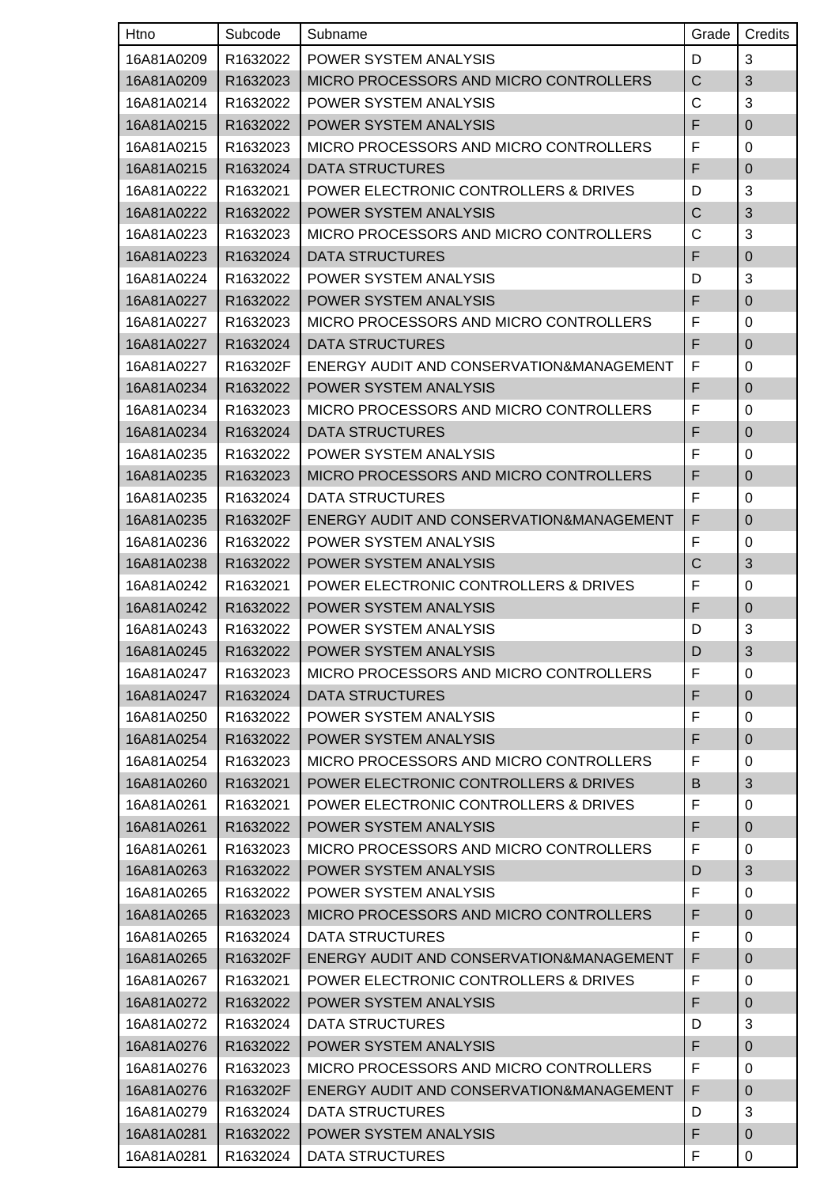| Htno       | Subcode  | Subname                                  | Grade | Credits      |
|------------|----------|------------------------------------------|-------|--------------|
| 16A81A0209 | R1632022 | <b>POWER SYSTEM ANALYSIS</b>             | D     | 3            |
| 16A81A0209 | R1632023 | MICRO PROCESSORS AND MICRO CONTROLLERS   | C     | 3            |
| 16A81A0214 | R1632022 | POWER SYSTEM ANALYSIS                    | C     | 3            |
| 16A81A0215 | R1632022 | POWER SYSTEM ANALYSIS                    | F     | $\pmb{0}$    |
| 16A81A0215 | R1632023 | MICRO PROCESSORS AND MICRO CONTROLLERS   | F     | 0            |
| 16A81A0215 | R1632024 | <b>DATA STRUCTURES</b>                   | F     | $\mathbf{0}$ |
| 16A81A0222 | R1632021 | POWER ELECTRONIC CONTROLLERS & DRIVES    | D     | 3            |
| 16A81A0222 | R1632022 | POWER SYSTEM ANALYSIS                    | C     | 3            |
| 16A81A0223 | R1632023 | MICRO PROCESSORS AND MICRO CONTROLLERS   | C     | 3            |
| 16A81A0223 | R1632024 | <b>DATA STRUCTURES</b>                   | F     | $\mathbf 0$  |
| 16A81A0224 | R1632022 | POWER SYSTEM ANALYSIS                    | D     | 3            |
| 16A81A0227 | R1632022 | POWER SYSTEM ANALYSIS                    | F     | $\mathbf 0$  |
| 16A81A0227 | R1632023 | MICRO PROCESSORS AND MICRO CONTROLLERS   | F     | 0            |
| 16A81A0227 | R1632024 | <b>DATA STRUCTURES</b>                   | F     | $\pmb{0}$    |
| 16A81A0227 | R163202F | ENERGY AUDIT AND CONSERVATION&MANAGEMENT | F     | 0            |
| 16A81A0234 | R1632022 | POWER SYSTEM ANALYSIS                    | F     | $\pmb{0}$    |
| 16A81A0234 | R1632023 | MICRO PROCESSORS AND MICRO CONTROLLERS   | F     | 0            |
| 16A81A0234 | R1632024 | <b>DATA STRUCTURES</b>                   | F     | $\mathbf 0$  |
| 16A81A0235 | R1632022 | POWER SYSTEM ANALYSIS                    | F     | 0            |
| 16A81A0235 | R1632023 | MICRO PROCESSORS AND MICRO CONTROLLERS   | F     | $\mathbf 0$  |
| 16A81A0235 | R1632024 | <b>DATA STRUCTURES</b>                   | F     | 0            |
| 16A81A0235 | R163202F | ENERGY AUDIT AND CONSERVATION&MANAGEMENT | F     | $\mathbf 0$  |
| 16A81A0236 | R1632022 | POWER SYSTEM ANALYSIS                    | F     | 0            |
| 16A81A0238 | R1632022 | POWER SYSTEM ANALYSIS                    | C     | 3            |
| 16A81A0242 | R1632021 | POWER ELECTRONIC CONTROLLERS & DRIVES    | F     | 0            |
| 16A81A0242 | R1632022 | POWER SYSTEM ANALYSIS                    | F     | $\pmb{0}$    |
| 16A81A0243 | R1632022 | POWER SYSTEM ANALYSIS                    | D     | 3            |
| 16A81A0245 | R1632022 | POWER SYSTEM ANALYSIS                    | D     | $\sqrt{3}$   |
| 16A81A0247 | R1632023 | MICRO PROCESSORS AND MICRO CONTROLLERS   | F     | 0            |
| 16A81A0247 | R1632024 | <b>DATA STRUCTURES</b>                   | F     | $\mathbf 0$  |
| 16A81A0250 | R1632022 | POWER SYSTEM ANALYSIS                    | F     | 0            |
| 16A81A0254 | R1632022 | POWER SYSTEM ANALYSIS                    | F     | $\mathbf 0$  |
| 16A81A0254 | R1632023 | MICRO PROCESSORS AND MICRO CONTROLLERS   | F     | 0            |
| 16A81A0260 | R1632021 | POWER ELECTRONIC CONTROLLERS & DRIVES    | B     | 3            |
| 16A81A0261 | R1632021 | POWER ELECTRONIC CONTROLLERS & DRIVES    | F     | 0            |
| 16A81A0261 | R1632022 | POWER SYSTEM ANALYSIS                    | F     | $\pmb{0}$    |
| 16A81A0261 | R1632023 | MICRO PROCESSORS AND MICRO CONTROLLERS   | F     | 0            |
| 16A81A0263 | R1632022 | POWER SYSTEM ANALYSIS                    | D     | 3            |
| 16A81A0265 | R1632022 | POWER SYSTEM ANALYSIS                    | F     | 0            |
| 16A81A0265 | R1632023 | MICRO PROCESSORS AND MICRO CONTROLLERS   | F     | $\mathbf 0$  |
| 16A81A0265 | R1632024 | DATA STRUCTURES                          | F     | 0            |
| 16A81A0265 | R163202F | ENERGY AUDIT AND CONSERVATION&MANAGEMENT | F     | $\mathbf 0$  |
| 16A81A0267 | R1632021 | POWER ELECTRONIC CONTROLLERS & DRIVES    | F     | 0            |
| 16A81A0272 | R1632022 | POWER SYSTEM ANALYSIS                    | F     | $\pmb{0}$    |
| 16A81A0272 | R1632024 | <b>DATA STRUCTURES</b>                   | D     | 3            |
| 16A81A0276 | R1632022 | POWER SYSTEM ANALYSIS                    | F     | $\pmb{0}$    |
| 16A81A0276 | R1632023 | MICRO PROCESSORS AND MICRO CONTROLLERS   | F     | 0            |
| 16A81A0276 | R163202F | ENERGY AUDIT AND CONSERVATION&MANAGEMENT | F     | $\mathbf{0}$ |
| 16A81A0279 | R1632024 | DATA STRUCTURES                          | D     | 3            |
| 16A81A0281 | R1632022 | POWER SYSTEM ANALYSIS                    | F     | $\pmb{0}$    |
| 16A81A0281 | R1632024 | <b>DATA STRUCTURES</b>                   | F     | 0            |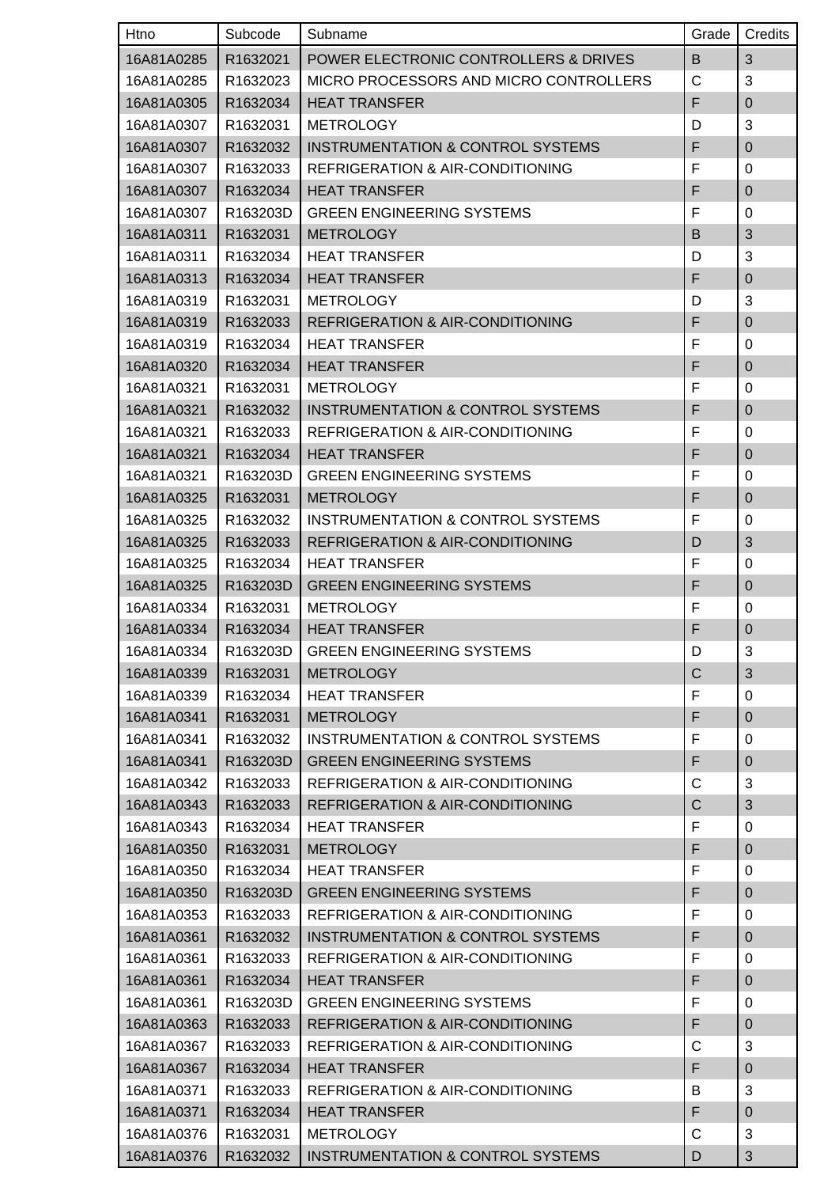| Htno       | Subcode               | Subname                                      | Grade       | Credits        |
|------------|-----------------------|----------------------------------------------|-------------|----------------|
| 16A81A0285 | R1632021              | POWER ELECTRONIC CONTROLLERS & DRIVES        | B           | 3              |
| 16A81A0285 | R1632023              | MICRO PROCESSORS AND MICRO CONTROLLERS       | C           | 3              |
| 16A81A0305 | R1632034              | <b>HEAT TRANSFER</b>                         | F           | $\overline{0}$ |
| 16A81A0307 | R1632031              | <b>METROLOGY</b>                             | D           | 3              |
| 16A81A0307 | R1632032              | <b>INSTRUMENTATION &amp; CONTROL SYSTEMS</b> | F           | $\mathbf 0$    |
| 16A81A0307 | R1632033              | <b>REFRIGERATION &amp; AIR-CONDITIONING</b>  | F           | 0              |
| 16A81A0307 | R1632034              | <b>HEAT TRANSFER</b>                         | F           | $\mathbf 0$    |
| 16A81A0307 | R163203D              | <b>GREEN ENGINEERING SYSTEMS</b>             | F           | 0              |
| 16A81A0311 | R1632031              | <b>METROLOGY</b>                             | B           | 3              |
| 16A81A0311 | R1632034              | <b>HEAT TRANSFER</b>                         | D           | 3              |
| 16A81A0313 | R1632034              | <b>HEAT TRANSFER</b>                         | F           | $\mathbf 0$    |
| 16A81A0319 | R1632031              | <b>METROLOGY</b>                             | D           | 3              |
| 16A81A0319 | R1632033              | <b>REFRIGERATION &amp; AIR-CONDITIONING</b>  | F           | $\overline{0}$ |
| 16A81A0319 | R1632034              | <b>HEAT TRANSFER</b>                         | F           | 0              |
| 16A81A0320 | R1632034              | <b>HEAT TRANSFER</b>                         | F           | $\mathbf 0$    |
| 16A81A0321 | R1632031              | <b>METROLOGY</b>                             | F           | 0              |
| 16A81A0321 | R1632032              | <b>INSTRUMENTATION &amp; CONTROL SYSTEMS</b> | F           | $\mathbf 0$    |
| 16A81A0321 | R1632033              | <b>REFRIGERATION &amp; AIR-CONDITIONING</b>  | F           | 0              |
| 16A81A0321 | R1632034              | <b>HEAT TRANSFER</b>                         | F           | $\mathbf 0$    |
| 16A81A0321 | R163203D              | <b>GREEN ENGINEERING SYSTEMS</b>             | F           | 0              |
| 16A81A0325 | R1632031              | <b>METROLOGY</b>                             | F           | $\mathbf 0$    |
| 16A81A0325 | R1632032              | INSTRUMENTATION & CONTROL SYSTEMS            | F           | 0              |
| 16A81A0325 | R1632033              | <b>REFRIGERATION &amp; AIR-CONDITIONING</b>  | D           | 3              |
| 16A81A0325 | R1632034              | <b>HEAT TRANSFER</b>                         | F           | 0              |
| 16A81A0325 | R163203D              | <b>GREEN ENGINEERING SYSTEMS</b>             | F           | $\pmb{0}$      |
| 16A81A0334 | R1632031              | <b>METROLOGY</b>                             | F           | 0              |
| 16A81A0334 | R1632034              | <b>HEAT TRANSFER</b>                         | F           | $\mathbf 0$    |
| 16A81A0334 | R163203D              | <b>GREEN ENGINEERING SYSTEMS</b>             | D           | 3              |
| 16A81A0339 | R1632031              | <b>METROLOGY</b>                             | $\mathsf C$ | 3              |
| 16A81A0339 | R1632034              | <b>HEAT TRANSFER</b>                         | F           | 0              |
| 16A81A0341 | R1632031              | <b>METROLOGY</b>                             | F           | $\pmb{0}$      |
| 16A81A0341 | R1632032              | INSTRUMENTATION & CONTROL SYSTEMS            | F           | 0              |
| 16A81A0341 | R163203D              | <b>GREEN ENGINEERING SYSTEMS</b>             | F           | $\mathbf 0$    |
| 16A81A0342 | R1632033              | <b>REFRIGERATION &amp; AIR-CONDITIONING</b>  | C           | 3              |
| 16A81A0343 | R1632033              | REFRIGERATION & AIR-CONDITIONING             | $\mathsf C$ | 3              |
| 16A81A0343 | R1632034              | <b>HEAT TRANSFER</b>                         | F           | $\mathbf 0$    |
| 16A81A0350 | R1632031              | <b>METROLOGY</b>                             | F           | $\mathbf 0$    |
| 16A81A0350 | R1632034              | <b>HEAT TRANSFER</b>                         | F           | 0              |
| 16A81A0350 | R163203D              | <b>GREEN ENGINEERING SYSTEMS</b>             | F           | $\pmb{0}$      |
| 16A81A0353 | R1632033              | REFRIGERATION & AIR-CONDITIONING             | F           | 0              |
| 16A81A0361 | R1632032              | <b>INSTRUMENTATION &amp; CONTROL SYSTEMS</b> | F           | $\mathbf 0$    |
| 16A81A0361 | R1632033              | <b>REFRIGERATION &amp; AIR-CONDITIONING</b>  | F           | 0              |
| 16A81A0361 | R1632034              | <b>HEAT TRANSFER</b>                         | F           | $\pmb{0}$      |
| 16A81A0361 | R <sub>163203</sub> D | <b>GREEN ENGINEERING SYSTEMS</b>             | F           | 0              |
| 16A81A0363 | R1632033              | <b>REFRIGERATION &amp; AIR-CONDITIONING</b>  | F           | $\pmb{0}$      |
| 16A81A0367 | R1632033              | <b>REFRIGERATION &amp; AIR-CONDITIONING</b>  | C           | 3              |
| 16A81A0367 | R1632034              | <b>HEAT TRANSFER</b>                         | F           | $\mathbf 0$    |
| 16A81A0371 | R1632033              | <b>REFRIGERATION &amp; AIR-CONDITIONING</b>  | В           | 3              |
| 16A81A0371 | R1632034              | <b>HEAT TRANSFER</b>                         | F           | $\mathbf 0$    |
| 16A81A0376 | R1632031              | <b>METROLOGY</b>                             | С           | 3              |
| 16A81A0376 | R1632032              | <b>INSTRUMENTATION &amp; CONTROL SYSTEMS</b> | D           | 3              |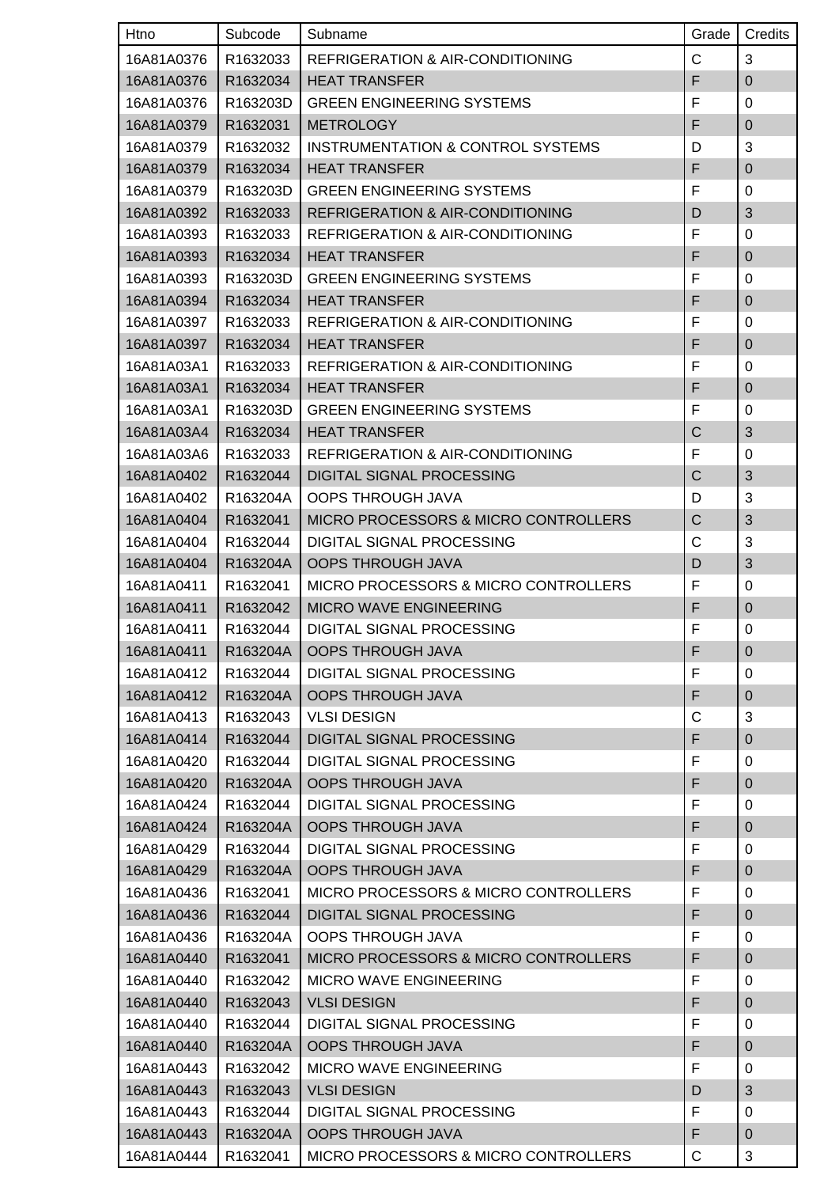| Htno       | Subcode  | Subname                                         | Grade          | Credits          |
|------------|----------|-------------------------------------------------|----------------|------------------|
| 16A81A0376 | R1632033 | REFRIGERATION & AIR-CONDITIONING                | C              | 3                |
| 16A81A0376 | R1632034 | <b>HEAT TRANSFER</b>                            | F              | $\overline{0}$   |
| 16A81A0376 | R163203D | <b>GREEN ENGINEERING SYSTEMS</b>                | F              | 0                |
| 16A81A0379 | R1632031 | <b>METROLOGY</b>                                | F              | $\mathbf 0$      |
| 16A81A0379 | R1632032 | INSTRUMENTATION & CONTROL SYSTEMS               | D              | 3                |
| 16A81A0379 | R1632034 | <b>HEAT TRANSFER</b>                            | F              | $\mathbf 0$      |
| 16A81A0379 | R163203D | <b>GREEN ENGINEERING SYSTEMS</b>                | F              | 0                |
| 16A81A0392 | R1632033 | <b>REFRIGERATION &amp; AIR-CONDITIONING</b>     | D              | 3                |
| 16A81A0393 | R1632033 | <b>REFRIGERATION &amp; AIR-CONDITIONING</b>     | F              | 0                |
| 16A81A0393 | R1632034 | <b>HEAT TRANSFER</b>                            | F              | $\mathbf 0$      |
| 16A81A0393 | R163203D | <b>GREEN ENGINEERING SYSTEMS</b>                | F              | 0                |
| 16A81A0394 | R1632034 | <b>HEAT TRANSFER</b>                            | F              | $\overline{0}$   |
| 16A81A0397 | R1632033 | <b>REFRIGERATION &amp; AIR-CONDITIONING</b>     | F              | 0                |
| 16A81A0397 | R1632034 | <b>HEAT TRANSFER</b>                            | F              | $\mathbf 0$      |
| 16A81A03A1 | R1632033 | <b>REFRIGERATION &amp; AIR-CONDITIONING</b>     | F              | 0                |
| 16A81A03A1 | R1632034 | <b>HEAT TRANSFER</b>                            | F              | $\pmb{0}$        |
| 16A81A03A1 | R163203D | <b>GREEN ENGINEERING SYSTEMS</b>                | F              | $\mathbf 0$      |
| 16A81A03A4 | R1632034 | <b>HEAT TRANSFER</b>                            | C              | 3                |
| 16A81A03A6 | R1632033 | <b>REFRIGERATION &amp; AIR-CONDITIONING</b>     | F              | 0                |
| 16A81A0402 | R1632044 | <b>DIGITAL SIGNAL PROCESSING</b>                | $\overline{C}$ | 3                |
| 16A81A0402 | R163204A | <b>OOPS THROUGH JAVA</b>                        | D              | 3                |
| 16A81A0404 | R1632041 | <b>MICRO PROCESSORS &amp; MICRO CONTROLLERS</b> | C              | 3                |
| 16A81A0404 | R1632044 | <b>DIGITAL SIGNAL PROCESSING</b>                | C              | 3                |
| 16A81A0404 | R163204A | <b>OOPS THROUGH JAVA</b>                        | D              | 3                |
| 16A81A0411 | R1632041 | <b>MICRO PROCESSORS &amp; MICRO CONTROLLERS</b> | F              | 0                |
| 16A81A0411 | R1632042 | <b>MICRO WAVE ENGINEERING</b>                   | F              | $\pmb{0}$        |
| 16A81A0411 | R1632044 | <b>DIGITAL SIGNAL PROCESSING</b>                | F              | $\boldsymbol{0}$ |
| 16A81A0411 | R163204A | <b>OOPS THROUGH JAVA</b>                        | F              | $\boldsymbol{0}$ |
| 16A81A0412 | R1632044 | DIGITAL SIGNAL PROCESSING                       | F              | 0                |
| 16A81A0412 | R163204A | <b>OOPS THROUGH JAVA</b>                        | F              | $\mathbf 0$      |
| 16A81A0413 | R1632043 | <b>VLSI DESIGN</b>                              | С              | 3                |
| 16A81A0414 | R1632044 | <b>DIGITAL SIGNAL PROCESSING</b>                | F              | $\pmb{0}$        |
| 16A81A0420 | R1632044 | DIGITAL SIGNAL PROCESSING                       | F              | 0                |
| 16A81A0420 | R163204A | <b>OOPS THROUGH JAVA</b>                        | F              | $\pmb{0}$        |
| 16A81A0424 | R1632044 | DIGITAL SIGNAL PROCESSING                       | F              | 0                |
| 16A81A0424 | R163204A | <b>OOPS THROUGH JAVA</b>                        | F              | $\pmb{0}$        |
| 16A81A0429 | R1632044 | DIGITAL SIGNAL PROCESSING                       | F              | 0                |
| 16A81A0429 | R163204A | <b>OOPS THROUGH JAVA</b>                        | F              | $\mathbf 0$      |
| 16A81A0436 | R1632041 | <b>MICRO PROCESSORS &amp; MICRO CONTROLLERS</b> | F              | 0                |
| 16A81A0436 | R1632044 | DIGITAL SIGNAL PROCESSING                       | F              | $\pmb{0}$        |
| 16A81A0436 | R163204A | <b>OOPS THROUGH JAVA</b>                        | F              | 0                |
| 16A81A0440 | R1632041 | MICRO PROCESSORS & MICRO CONTROLLERS            | F              | $\pmb{0}$        |
| 16A81A0440 | R1632042 | <b>MICRO WAVE ENGINEERING</b>                   | F              | 0                |
| 16A81A0440 | R1632043 | <b>VLSI DESIGN</b>                              | F              | $\pmb{0}$        |
| 16A81A0440 | R1632044 | DIGITAL SIGNAL PROCESSING                       | F              | 0                |
| 16A81A0440 | R163204A | <b>OOPS THROUGH JAVA</b>                        | F              | $\pmb{0}$        |
| 16A81A0443 | R1632042 | MICRO WAVE ENGINEERING                          | F              | 0                |
| 16A81A0443 | R1632043 | <b>VLSI DESIGN</b>                              | D              | $\mathfrak{S}$   |
| 16A81A0443 | R1632044 | DIGITAL SIGNAL PROCESSING                       | F              | 0                |
| 16A81A0443 | R163204A | <b>OOPS THROUGH JAVA</b>                        | F              | $\pmb{0}$        |
| 16A81A0444 | R1632041 | MICRO PROCESSORS & MICRO CONTROLLERS            | C              | 3                |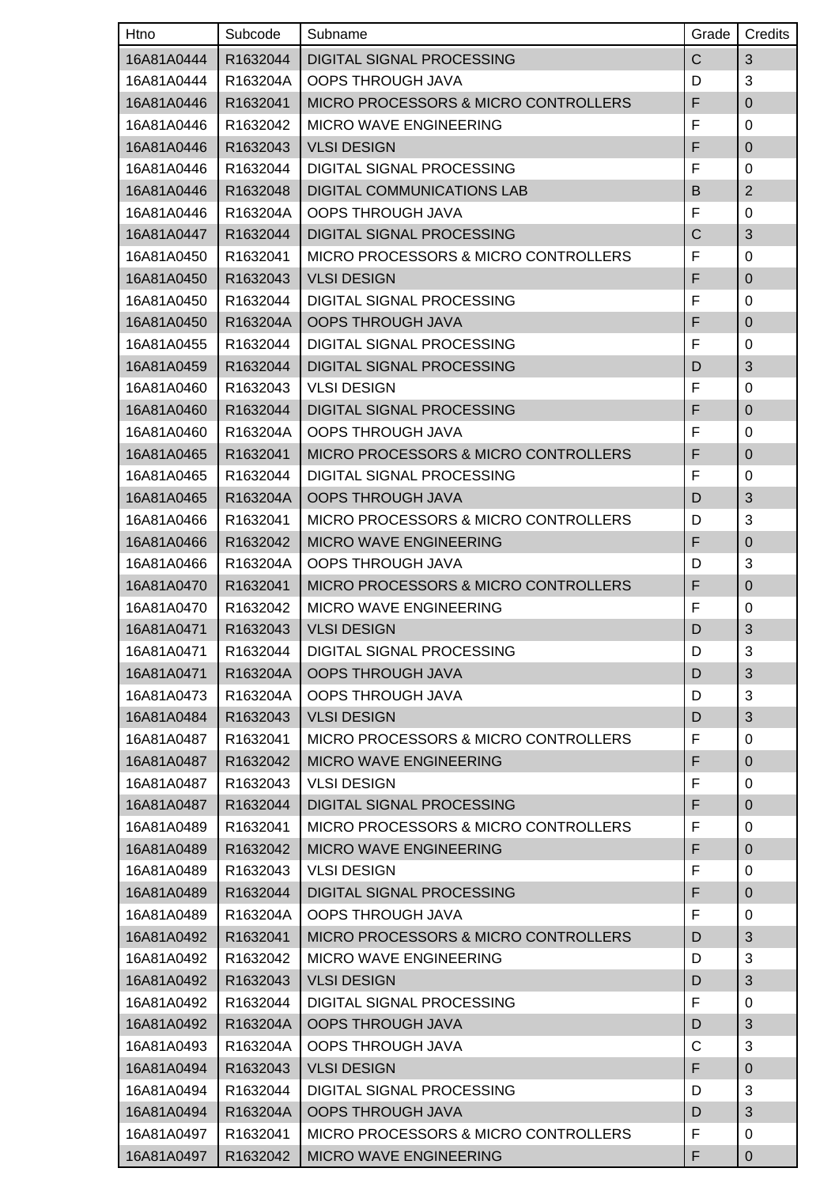| Htno       | Subcode  | Subname                                         | Grade | Credits        |
|------------|----------|-------------------------------------------------|-------|----------------|
| 16A81A0444 | R1632044 | DIGITAL SIGNAL PROCESSING                       | C     | 3              |
| 16A81A0444 | R163204A | <b>OOPS THROUGH JAVA</b>                        | D     | 3              |
| 16A81A0446 | R1632041 | <b>MICRO PROCESSORS &amp; MICRO CONTROLLERS</b> | F     | $\mathbf 0$    |
| 16A81A0446 | R1632042 | <b>MICRO WAVE ENGINEERING</b>                   | F     | 0              |
| 16A81A0446 | R1632043 | <b>VLSI DESIGN</b>                              | F     | $\mathbf 0$    |
| 16A81A0446 | R1632044 | DIGITAL SIGNAL PROCESSING                       | F     | 0              |
| 16A81A0446 | R1632048 | <b>DIGITAL COMMUNICATIONS LAB</b>               | B     | $\overline{2}$ |
| 16A81A0446 | R163204A | OOPS THROUGH JAVA                               | F     | 0              |
| 16A81A0447 | R1632044 | <b>DIGITAL SIGNAL PROCESSING</b>                | C     | 3              |
| 16A81A0450 | R1632041 | <b>MICRO PROCESSORS &amp; MICRO CONTROLLERS</b> | F     | 0              |
| 16A81A0450 | R1632043 | <b>VLSI DESIGN</b>                              | F     | $\pmb{0}$      |
| 16A81A0450 | R1632044 | <b>DIGITAL SIGNAL PROCESSING</b>                | F     | 0              |
| 16A81A0450 | R163204A | <b>OOPS THROUGH JAVA</b>                        | F     | $\mathbf 0$    |
| 16A81A0455 | R1632044 | DIGITAL SIGNAL PROCESSING                       | F     | 0              |
| 16A81A0459 | R1632044 | DIGITAL SIGNAL PROCESSING                       | D     | 3              |
| 16A81A0460 | R1632043 | <b>VLSI DESIGN</b>                              | F     | 0              |
| 16A81A0460 | R1632044 | <b>DIGITAL SIGNAL PROCESSING</b>                | F     | $\mathbf 0$    |
| 16A81A0460 | R163204A | <b>OOPS THROUGH JAVA</b>                        | F     | 0              |
| 16A81A0465 | R1632041 | <b>MICRO PROCESSORS &amp; MICRO CONTROLLERS</b> | F     | $\mathbf 0$    |
| 16A81A0465 | R1632044 | <b>DIGITAL SIGNAL PROCESSING</b>                | F     | 0              |
| 16A81A0465 | R163204A | <b>OOPS THROUGH JAVA</b>                        | D     | 3              |
| 16A81A0466 | R1632041 | <b>MICRO PROCESSORS &amp; MICRO CONTROLLERS</b> | D     | 3              |
| 16A81A0466 | R1632042 | MICRO WAVE ENGINEERING                          | F     | 0              |
| 16A81A0466 | R163204A | <b>OOPS THROUGH JAVA</b>                        | D     | 3              |
| 16A81A0470 | R1632041 | MICRO PROCESSORS & MICRO CONTROLLERS            | F     | $\overline{0}$ |
| 16A81A0470 | R1632042 | <b>MICRO WAVE ENGINEERING</b>                   | F     | 0              |
| 16A81A0471 | R1632043 | <b>VLSI DESIGN</b>                              | D     | 3              |
| 16A81A0471 | R1632044 | DIGITAL SIGNAL PROCESSING                       | D     | 3              |
| 16A81A0471 | R163204A | <b>OOPS THROUGH JAVA</b>                        | D     | 3              |
| 16A81A0473 | R163204A | <b>OOPS THROUGH JAVA</b>                        | D     | 3              |
| 16A81A0484 | R1632043 | <b>VLSI DESIGN</b>                              | D     | $\sqrt{3}$     |
| 16A81A0487 | R1632041 | MICRO PROCESSORS & MICRO CONTROLLERS            | F     | 0              |
| 16A81A0487 | R1632042 | <b>MICRO WAVE ENGINEERING</b>                   | F     | $\mathbf 0$    |
| 16A81A0487 | R1632043 | <b>VLSI DESIGN</b>                              | F     | 0              |
| 16A81A0487 | R1632044 | <b>DIGITAL SIGNAL PROCESSING</b>                | F     | $\pmb{0}$      |
| 16A81A0489 | R1632041 | <b>MICRO PROCESSORS &amp; MICRO CONTROLLERS</b> | F     | 0              |
| 16A81A0489 | R1632042 | MICRO WAVE ENGINEERING                          | F     | $\pmb{0}$      |
| 16A81A0489 | R1632043 | <b>VLSI DESIGN</b>                              | F     | 0              |
| 16A81A0489 | R1632044 | <b>DIGITAL SIGNAL PROCESSING</b>                | F     | $\pmb{0}$      |
| 16A81A0489 | R163204A | <b>OOPS THROUGH JAVA</b>                        | F     | 0              |
| 16A81A0492 | R1632041 | MICRO PROCESSORS & MICRO CONTROLLERS            | D     | 3              |
| 16A81A0492 | R1632042 | <b>MICRO WAVE ENGINEERING</b>                   | D     | 3              |
| 16A81A0492 | R1632043 | <b>VLSI DESIGN</b>                              | D     | 3              |
| 16A81A0492 | R1632044 | DIGITAL SIGNAL PROCESSING                       | F     | 0              |
| 16A81A0492 | R163204A | <b>OOPS THROUGH JAVA</b>                        | D     | 3              |
| 16A81A0493 | R163204A | <b>OOPS THROUGH JAVA</b>                        | C     | 3              |
| 16A81A0494 | R1632043 | <b>VLSI DESIGN</b>                              | F     | $\pmb{0}$      |
| 16A81A0494 | R1632044 | DIGITAL SIGNAL PROCESSING                       | D     | 3              |
| 16A81A0494 | R163204A | <b>OOPS THROUGH JAVA</b>                        | D     | 3              |
| 16A81A0497 | R1632041 | <b>MICRO PROCESSORS &amp; MICRO CONTROLLERS</b> | F     | 0              |
| 16A81A0497 | R1632042 | <b>MICRO WAVE ENGINEERING</b>                   | F     | 0              |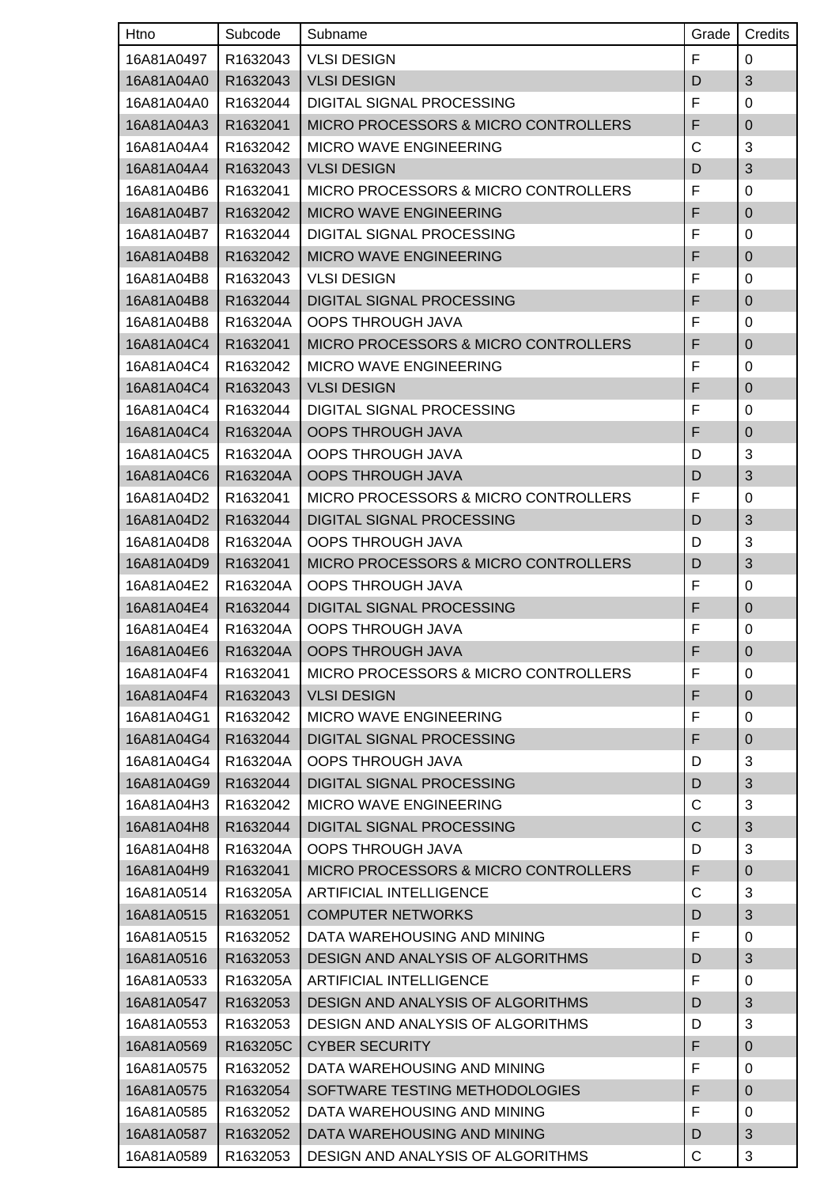| Htno       | Subcode  | Subname                                         | Grade | Credits     |
|------------|----------|-------------------------------------------------|-------|-------------|
| 16A81A0497 | R1632043 | <b>VLSI DESIGN</b>                              | F     | 0           |
| 16A81A04A0 | R1632043 | <b>VLSI DESIGN</b>                              | D     | 3           |
| 16A81A04A0 | R1632044 | DIGITAL SIGNAL PROCESSING                       | F     | 0           |
| 16A81A04A3 | R1632041 | MICRO PROCESSORS & MICRO CONTROLLERS            | F     | $\mathbf 0$ |
| 16A81A04A4 | R1632042 | <b>MICRO WAVE ENGINEERING</b>                   | C     | 3           |
| 16A81A04A4 | R1632043 | <b>VLSI DESIGN</b>                              | D     | 3           |
| 16A81A04B6 | R1632041 | <b>MICRO PROCESSORS &amp; MICRO CONTROLLERS</b> | F     | 0           |
| 16A81A04B7 | R1632042 | <b>MICRO WAVE ENGINEERING</b>                   | F     | $\pmb{0}$   |
| 16A81A04B7 | R1632044 | DIGITAL SIGNAL PROCESSING                       | F     | 0           |
| 16A81A04B8 | R1632042 | <b>MICRO WAVE ENGINEERING</b>                   | F     | $\mathbf 0$ |
| 16A81A04B8 | R1632043 | <b>VLSI DESIGN</b>                              | F     | 0           |
| 16A81A04B8 | R1632044 | <b>DIGITAL SIGNAL PROCESSING</b>                | F     | $\mathbf 0$ |
| 16A81A04B8 | R163204A | <b>OOPS THROUGH JAVA</b>                        | F     | 0           |
| 16A81A04C4 | R1632041 | MICRO PROCESSORS & MICRO CONTROLLERS            | F     | $\mathbf 0$ |
| 16A81A04C4 | R1632042 | <b>MICRO WAVE ENGINEERING</b>                   | F     | 0           |
| 16A81A04C4 | R1632043 | <b>VLSI DESIGN</b>                              | F     | $\mathbf 0$ |
| 16A81A04C4 | R1632044 | DIGITAL SIGNAL PROCESSING                       | F     | 0           |
| 16A81A04C4 | R163204A | <b>OOPS THROUGH JAVA</b>                        | F     | $\mathbf 0$ |
| 16A81A04C5 | R163204A | <b>OOPS THROUGH JAVA</b>                        | D     | 3           |
| 16A81A04C6 | R163204A | <b>OOPS THROUGH JAVA</b>                        | D     | 3           |
| 16A81A04D2 | R1632041 | <b>MICRO PROCESSORS &amp; MICRO CONTROLLERS</b> | F     | $\mathbf 0$ |
| 16A81A04D2 | R1632044 | <b>DIGITAL SIGNAL PROCESSING</b>                | D     | 3           |
| 16A81A04D8 | R163204A | <b>OOPS THROUGH JAVA</b>                        | D     | 3           |
| 16A81A04D9 | R1632041 | <b>MICRO PROCESSORS &amp; MICRO CONTROLLERS</b> | D     | 3           |
| 16A81A04E2 | R163204A | <b>OOPS THROUGH JAVA</b>                        | F     | 0           |
| 16A81A04E4 | R1632044 | <b>DIGITAL SIGNAL PROCESSING</b>                | F     | $\mathbf 0$ |
| 16A81A04E4 | R163204A | <b>OOPS THROUGH JAVA</b>                        | F     | $\mathbf 0$ |
| 16A81A04E6 | R163204A | <b>OOPS THROUGH JAVA</b>                        | F     | $\mathbf 0$ |
| 16A81A04F4 | R1632041 | MICRO PROCESSORS & MICRO CONTROLLERS            | F     | 0           |
| 16A81A04F4 | R1632043 | <b>VLSI DESIGN</b>                              | F     | $\mathbf 0$ |
| 16A81A04G1 | R1632042 | <b>MICRO WAVE ENGINEERING</b>                   | F     | 0           |
| 16A81A04G4 | R1632044 | <b>DIGITAL SIGNAL PROCESSING</b>                | F     | $\pmb{0}$   |
| 16A81A04G4 | R163204A | <b>OOPS THROUGH JAVA</b>                        | D     | 3           |
| 16A81A04G9 | R1632044 | <b>DIGITAL SIGNAL PROCESSING</b>                | D     | $\sqrt{3}$  |
| 16A81A04H3 | R1632042 | <b>MICRO WAVE ENGINEERING</b>                   | C     | 3           |
| 16A81A04H8 | R1632044 | <b>DIGITAL SIGNAL PROCESSING</b>                | C     | $\sqrt{3}$  |
| 16A81A04H8 | R163204A | <b>OOPS THROUGH JAVA</b>                        | D     | 3           |
| 16A81A04H9 | R1632041 | MICRO PROCESSORS & MICRO CONTROLLERS            | F     | $\pmb{0}$   |
| 16A81A0514 | R163205A | <b>ARTIFICIAL INTELLIGENCE</b>                  | C     | 3           |
| 16A81A0515 | R1632051 | <b>COMPUTER NETWORKS</b>                        | D     | 3           |
| 16A81A0515 | R1632052 | DATA WAREHOUSING AND MINING                     | F     | 0           |
| 16A81A0516 | R1632053 | DESIGN AND ANALYSIS OF ALGORITHMS               | D     | 3           |
| 16A81A0533 | R163205A | <b>ARTIFICIAL INTELLIGENCE</b>                  | F     | 0           |
| 16A81A0547 | R1632053 | DESIGN AND ANALYSIS OF ALGORITHMS               | D     | $\sqrt{3}$  |
| 16A81A0553 | R1632053 | DESIGN AND ANALYSIS OF ALGORITHMS               | D     | 3           |
| 16A81A0569 | R163205C | <b>CYBER SECURITY</b>                           | F     | $\pmb{0}$   |
| 16A81A0575 | R1632052 | DATA WAREHOUSING AND MINING                     | F     | 0           |
| 16A81A0575 | R1632054 | SOFTWARE TESTING METHODOLOGIES                  | F     | $\mathbf 0$ |
| 16A81A0585 | R1632052 | DATA WAREHOUSING AND MINING                     | F     | 0           |
| 16A81A0587 | R1632052 | DATA WAREHOUSING AND MINING                     | D     | 3           |
| 16A81A0589 | R1632053 | <b>DESIGN AND ANALYSIS OF ALGORITHMS</b>        | С     | 3           |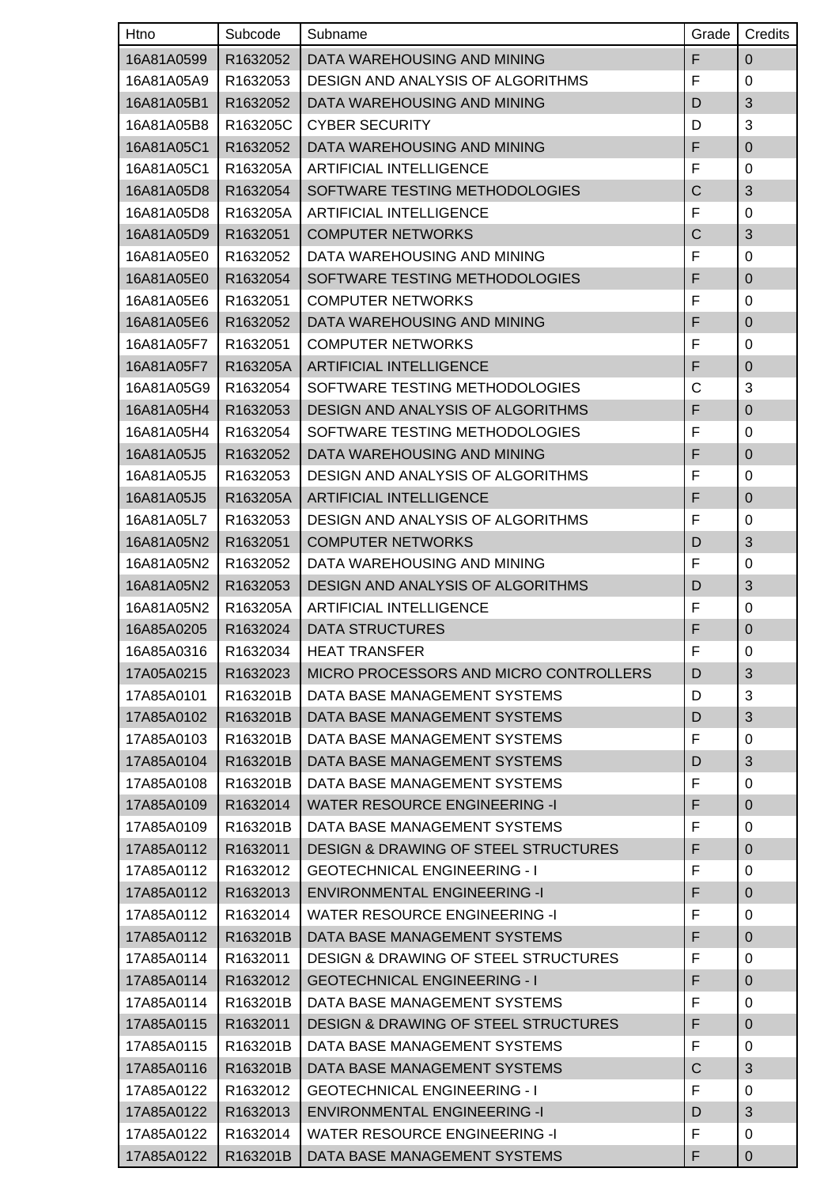| Htno       | Subcode  | Subname                                         | Grade          | Credits        |
|------------|----------|-------------------------------------------------|----------------|----------------|
| 16A81A0599 | R1632052 | DATA WAREHOUSING AND MINING                     | F              | $\mathbf 0$    |
| 16A81A05A9 | R1632053 | <b>DESIGN AND ANALYSIS OF ALGORITHMS</b>        | F              | $\mathbf 0$    |
| 16A81A05B1 | R1632052 | DATA WAREHOUSING AND MINING                     | D              | 3              |
| 16A81A05B8 | R163205C | <b>CYBER SECURITY</b>                           | D              | 3              |
| 16A81A05C1 | R1632052 | DATA WAREHOUSING AND MINING                     | F              | $\mathbf 0$    |
| 16A81A05C1 | R163205A | <b>ARTIFICIAL INTELLIGENCE</b>                  | F              | 0              |
| 16A81A05D8 | R1632054 | SOFTWARE TESTING METHODOLOGIES                  | $\overline{C}$ | 3              |
| 16A81A05D8 | R163205A | <b>ARTIFICIAL INTELLIGENCE</b>                  | F              | 0              |
| 16A81A05D9 | R1632051 | <b>COMPUTER NETWORKS</b>                        | C              | 3              |
| 16A81A05E0 | R1632052 | DATA WAREHOUSING AND MINING                     | F              | 0              |
| 16A81A05E0 | R1632054 | SOFTWARE TESTING METHODOLOGIES                  | F              | $\pmb{0}$      |
| 16A81A05E6 | R1632051 | <b>COMPUTER NETWORKS</b>                        | F              | 0              |
| 16A81A05E6 | R1632052 | DATA WAREHOUSING AND MINING                     | F              | $\mathbf 0$    |
| 16A81A05F7 | R1632051 | <b>COMPUTER NETWORKS</b>                        | F              | 0              |
| 16A81A05F7 | R163205A | <b>ARTIFICIAL INTELLIGENCE</b>                  | F              | $\overline{0}$ |
| 16A81A05G9 | R1632054 | SOFTWARE TESTING METHODOLOGIES                  | C              | 3              |
| 16A81A05H4 | R1632053 | DESIGN AND ANALYSIS OF ALGORITHMS               | F              | $\mathbf 0$    |
| 16A81A05H4 | R1632054 | SOFTWARE TESTING METHODOLOGIES                  | F              | 0              |
| 16A81A05J5 | R1632052 | DATA WAREHOUSING AND MINING                     | F              | $\mathbf 0$    |
| 16A81A05J5 | R1632053 | <b>DESIGN AND ANALYSIS OF ALGORITHMS</b>        | F              | 0              |
| 16A81A05J5 | R163205A | <b>ARTIFICIAL INTELLIGENCE</b>                  | F              | $\pmb{0}$      |
| 16A81A05L7 | R1632053 | <b>DESIGN AND ANALYSIS OF ALGORITHMS</b>        | F              | 0              |
| 16A81A05N2 | R1632051 | <b>COMPUTER NETWORKS</b>                        | D              | 3              |
| 16A81A05N2 | R1632052 | DATA WAREHOUSING AND MINING                     | F              | 0              |
| 16A81A05N2 | R1632053 | <b>DESIGN AND ANALYSIS OF ALGORITHMS</b>        | D              | 3              |
| 16A81A05N2 | R163205A | <b>ARTIFICIAL INTELLIGENCE</b>                  | F              | 0              |
| 16A85A0205 | R1632024 | <b>DATA STRUCTURES</b>                          | F              | $\mathbf 0$    |
| 16A85A0316 | R1632034 | <b>HEAT TRANSFER</b>                            | F              | $\Omega$       |
| 17A05A0215 | R1632023 | MICRO PROCESSORS AND MICRO CONTROLLERS          | D              | 3              |
| 17A85A0101 | R163201B | DATA BASE MANAGEMENT SYSTEMS                    | D              | 3              |
| 17A85A0102 | R163201B | DATA BASE MANAGEMENT SYSTEMS                    | D              | 3              |
| 17A85A0103 | R163201B | DATA BASE MANAGEMENT SYSTEMS                    | F              | 0              |
| 17A85A0104 | R163201B | DATA BASE MANAGEMENT SYSTEMS                    | D              | $\mathfrak{B}$ |
| 17A85A0108 | R163201B | DATA BASE MANAGEMENT SYSTEMS                    | F              | 0              |
| 17A85A0109 | R1632014 | <b>WATER RESOURCE ENGINEERING -I</b>            | F              | $\pmb{0}$      |
| 17A85A0109 | R163201B | DATA BASE MANAGEMENT SYSTEMS                    | F              | 0              |
| 17A85A0112 | R1632011 | <b>DESIGN &amp; DRAWING OF STEEL STRUCTURES</b> | F              | $\mathbf 0$    |
| 17A85A0112 | R1632012 | <b>GEOTECHNICAL ENGINEERING - I</b>             | F              | 0              |
| 17A85A0112 | R1632013 | <b>ENVIRONMENTAL ENGINEERING -I</b>             | F              | $\pmb{0}$      |
| 17A85A0112 | R1632014 | <b>WATER RESOURCE ENGINEERING -I</b>            | F              | 0              |
| 17A85A0112 | R163201B | DATA BASE MANAGEMENT SYSTEMS                    | F              | $\pmb{0}$      |
| 17A85A0114 | R1632011 | <b>DESIGN &amp; DRAWING OF STEEL STRUCTURES</b> | F              | 0              |
| 17A85A0114 | R1632012 | <b>GEOTECHNICAL ENGINEERING - I</b>             | F              | $\pmb{0}$      |
| 17A85A0114 | R163201B | DATA BASE MANAGEMENT SYSTEMS                    | F              | 0              |
| 17A85A0115 | R1632011 | <b>DESIGN &amp; DRAWING OF STEEL STRUCTURES</b> | F              | $\pmb{0}$      |
| 17A85A0115 | R163201B | DATA BASE MANAGEMENT SYSTEMS                    | F              | 0              |
| 17A85A0116 | R163201B | DATA BASE MANAGEMENT SYSTEMS                    | C              | 3              |
| 17A85A0122 | R1632012 | <b>GEOTECHNICAL ENGINEERING - I</b>             | F              | 0              |
| 17A85A0122 | R1632013 | <b>ENVIRONMENTAL ENGINEERING -I</b>             | D              | 3              |
| 17A85A0122 | R1632014 | WATER RESOURCE ENGINEERING -I                   | F              | 0              |
| 17A85A0122 | R163201B | DATA BASE MANAGEMENT SYSTEMS                    | F              | $\pmb{0}$      |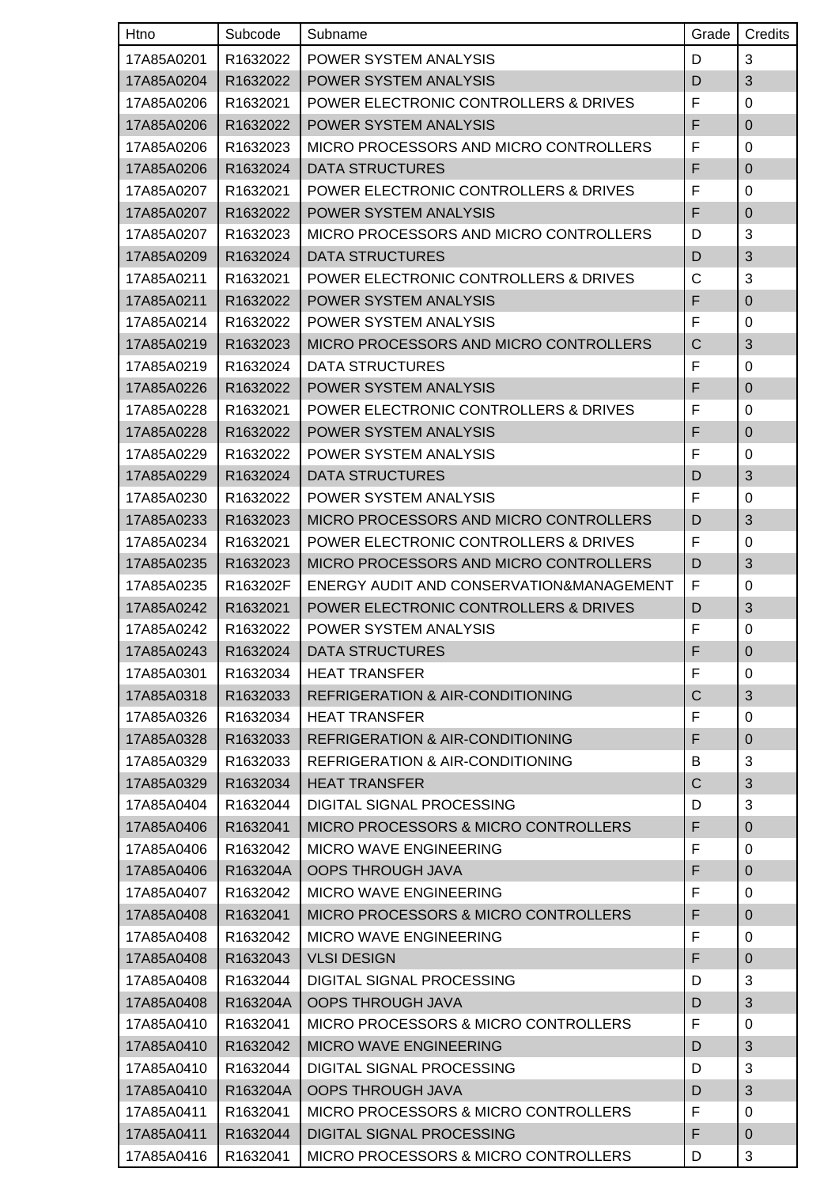| Htno       | Subcode  | Subname                                          | Grade          | Credits        |
|------------|----------|--------------------------------------------------|----------------|----------------|
| 17A85A0201 | R1632022 | POWER SYSTEM ANALYSIS                            | D              | $\mathbf{3}$   |
| 17A85A0204 | R1632022 | POWER SYSTEM ANALYSIS                            | D              | 3              |
| 17A85A0206 | R1632021 | POWER ELECTRONIC CONTROLLERS & DRIVES            | F              | $\mathbf 0$    |
| 17A85A0206 | R1632022 | POWER SYSTEM ANALYSIS                            | F              | $\pmb{0}$      |
| 17A85A0206 | R1632023 | MICRO PROCESSORS AND MICRO CONTROLLERS           | F              | 0              |
| 17A85A0206 | R1632024 | <b>DATA STRUCTURES</b>                           | F              | $\mathbf 0$    |
| 17A85A0207 | R1632021 | <b>POWER ELECTRONIC CONTROLLERS &amp; DRIVES</b> | F              | 0              |
| 17A85A0207 | R1632022 | POWER SYSTEM ANALYSIS                            | F              | $\mathbf 0$    |
| 17A85A0207 | R1632023 | MICRO PROCESSORS AND MICRO CONTROLLERS           | D              | $\mathbf{3}$   |
| 17A85A0209 | R1632024 | <b>DATA STRUCTURES</b>                           | D              | 3              |
| 17A85A0211 | R1632021 | <b>POWER ELECTRONIC CONTROLLERS &amp; DRIVES</b> | С              | $\mathbf{3}$   |
| 17A85A0211 | R1632022 | POWER SYSTEM ANALYSIS                            | F              | $\mathbf 0$    |
| 17A85A0214 | R1632022 | POWER SYSTEM ANALYSIS                            | F              | 0              |
| 17A85A0219 | R1632023 | MICRO PROCESSORS AND MICRO CONTROLLERS           | C              | 3              |
| 17A85A0219 | R1632024 | <b>DATA STRUCTURES</b>                           | F              | 0              |
| 17A85A0226 | R1632022 | POWER SYSTEM ANALYSIS                            | F              | $\pmb{0}$      |
| 17A85A0228 | R1632021 | <b>POWER ELECTRONIC CONTROLLERS &amp; DRIVES</b> | F              | $\mathbf 0$    |
| 17A85A0228 | R1632022 | POWER SYSTEM ANALYSIS                            | F              | $\mathbf 0$    |
| 17A85A0229 | R1632022 | POWER SYSTEM ANALYSIS                            | F              | 0              |
| 17A85A0229 | R1632024 | <b>DATA STRUCTURES</b>                           | D              | 3              |
| 17A85A0230 | R1632022 | POWER SYSTEM ANALYSIS                            | F              | 0              |
| 17A85A0233 | R1632023 | MICRO PROCESSORS AND MICRO CONTROLLERS           | D              | 3              |
| 17A85A0234 | R1632021 | <b>POWER ELECTRONIC CONTROLLERS &amp; DRIVES</b> | F              | 0              |
| 17A85A0235 | R1632023 | MICRO PROCESSORS AND MICRO CONTROLLERS           | D              | 3              |
| 17A85A0235 | R163202F | ENERGY AUDIT AND CONSERVATION&MANAGEMENT         | F              | 0              |
| 17A85A0242 | R1632021 | POWER ELECTRONIC CONTROLLERS & DRIVES            | D              | 3              |
| 17A85A0242 | R1632022 | POWER SYSTEM ANALYSIS                            | F              | $\pmb{0}$      |
| 17A85A0243 | R1632024 | DATA STRUCTURES                                  | F              | $\mathbf 0$    |
| 17A85A0301 | R1632034 | <b>HEAT TRANSFER</b>                             | F              | 0              |
| 17A85A0318 | R1632033 | REFRIGERATION & AIR-CONDITIONING                 | $\overline{C}$ | 3              |
| 17A85A0326 | R1632034 | <b>HEAT TRANSFER</b>                             | F              | 0              |
| 17A85A0328 | R1632033 | REFRIGERATION & AIR-CONDITIONING                 | F              | $\pmb{0}$      |
| 17A85A0329 | R1632033 | REFRIGERATION & AIR-CONDITIONING                 | В              | 3              |
| 17A85A0329 | R1632034 | <b>HEAT TRANSFER</b>                             | C              | 3              |
| 17A85A0404 | R1632044 | DIGITAL SIGNAL PROCESSING                        | D              | 3              |
| 17A85A0406 | R1632041 | MICRO PROCESSORS & MICRO CONTROLLERS             | F              | $\pmb{0}$      |
| 17A85A0406 | R1632042 | <b>MICRO WAVE ENGINEERING</b>                    | F              | 0              |
| 17A85A0406 | R163204A | <b>OOPS THROUGH JAVA</b>                         | F              | $\mathbf 0$    |
| 17A85A0407 | R1632042 | <b>MICRO WAVE ENGINEERING</b>                    | F              | 0              |
| 17A85A0408 | R1632041 | MICRO PROCESSORS & MICRO CONTROLLERS             | F              | $\mathbf 0$    |
| 17A85A0408 | R1632042 | <b>MICRO WAVE ENGINEERING</b>                    | F              | 0              |
| 17A85A0408 | R1632043 | <b>VLSI DESIGN</b>                               | F              | $\pmb{0}$      |
| 17A85A0408 | R1632044 | DIGITAL SIGNAL PROCESSING                        | D              | 3              |
| 17A85A0408 | R163204A | <b>OOPS THROUGH JAVA</b>                         | D              | 3              |
| 17A85A0410 | R1632041 | MICRO PROCESSORS & MICRO CONTROLLERS             | F              | 0              |
| 17A85A0410 | R1632042 | <b>MICRO WAVE ENGINEERING</b>                    | D              | $\sqrt{3}$     |
| 17A85A0410 | R1632044 | DIGITAL SIGNAL PROCESSING                        | D              | 3              |
| 17A85A0410 | R163204A | <b>OOPS THROUGH JAVA</b>                         | D              | $\mathfrak{S}$ |
| 17A85A0411 | R1632041 | MICRO PROCESSORS & MICRO CONTROLLERS             | F              | $\mathsf 0$    |
| 17A85A0411 | R1632044 | DIGITAL SIGNAL PROCESSING                        | F              | $\mathbf 0$    |
| 17A85A0416 | R1632041 | MICRO PROCESSORS & MICRO CONTROLLERS             | D              | 3              |